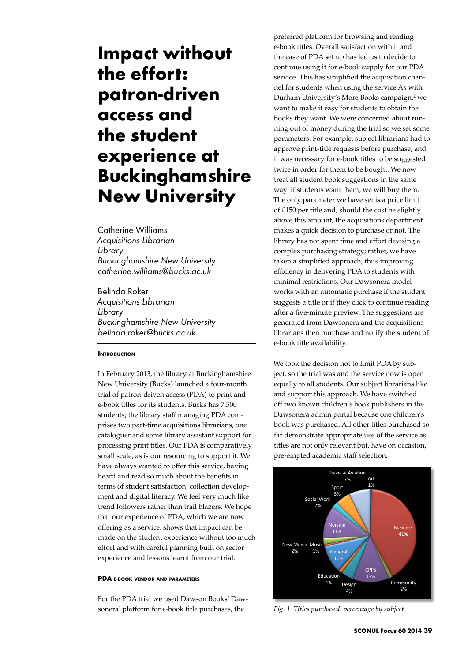# **Impact without the effort: patron-driven access and the student experience at Buckinghamshire New University**

Catherine Williams *Acquisitions Librarian Library Buckinghamshire New University catherine.williams@bucks.ac.uk*

Belinda Roker *Acquisitions Librarian Library Buckinghamshire New University belinda.roker@bucks.ac.uk*

#### **INTRODUCTION**

In February 2013, the library at Buckinghamshire New University (Bucks) launched a four-month trial of patron-driven access (PDA) to print and e-book titles for its students. Bucks has 7,500 students; the library staff managing PDA comprises two part-time acquisitions librarians, one cataloguer and some library assistant support for processing print titles. Our PDA is comparatively small scale, as is our resourcing to support it. We have always wanted to offer this service, having heard and read so much about the benefits in terms of student satisfaction, collection development and digital literacy. We feel very much like trend followers rather than trail blazers. We hope that our experience of PDA, which we are now offering as a service, shows that impact can be made on the student experience without too much effort and with careful planning built on sector experience and lessons learnt from our trial.

#### **PDA e-book vendor and parameters**

For the PDA trial we used Dawson Books' Dawsonera<sup>1</sup> platform for e-book title purchases, the

preferred platform for browsing and reading e-book titles. Overall satisfaction with it and the ease of PDA set up has led us to decide to continue using it for e-book supply for our PDA service. This has simplified the acquisition channel for students when using the service As with Durham University's More Books campaign,<sup>2</sup> we want to make it easy for students to obtain the books they want. We were concerned about running out of money during the trial so we set some parameters. For example, subject librarians had to approve print-title requests before purchase; and it was necessary for e-book titles to be suggested twice in order for them to be bought. We now treat all student book suggestions in the same way: if students want them, we will buy them. The only parameter we have set is a price limit of £150 per title and, should the cost be slightly above this amount, the acquisitions department makes a quick decision to purchase or not. The library has not spent time and effort devising a complex purchasing strategy; rather, we have taken a simplified approach, thus improving efficiency in delivering PDA to students with minimal restrictions. Our Dawsonera model works with an automatic purchase if the student suggests a title or if they click to continue reading after a five-minute preview. The suggestions are generated from Dawsonera and the acquisitions librarians then purchase and notify the student of e-book title availability.

We took the decision not to limit PDA by subject, so the trial was and the service now is open equally to all students. Our subject librarians like and support this approach. We have switched off two known children's book publishers in the Dawsonera admin portal because one children's book was purchased. All other titles purchased so far demonstrate appropriate use of the service as titles are not only relevant but, have on occasion, pre-empted academic staff selection.



*Fig. 1 Titles purchased: percentage by subject*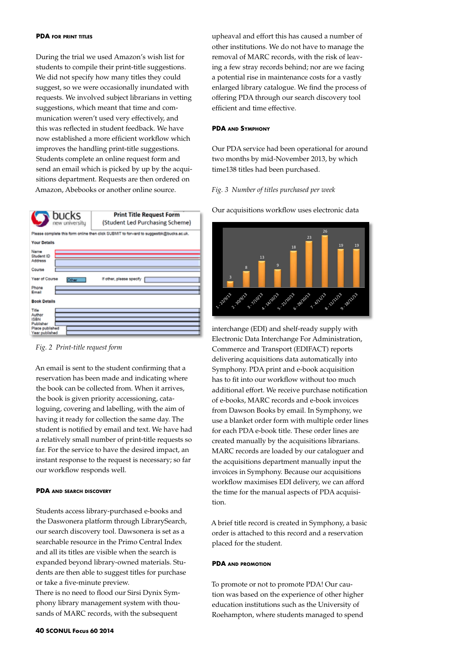#### **PDA for print titles**

During the trial we used Amazon's wish list for students to compile their print-title suggestions. We did not specify how many titles they could suggest, so we were occasionally inundated with requests. We involved subject librarians in vetting suggestions, which meant that time and communication weren't used very effectively, and this was reflected in student feedback. We have now established a more efficient workflow which improves the handling print-title suggestions. Students complete an online request form and send an email which is picked by up by the acquisitions department. Requests are then ordered on Amazon, Abebooks or another online source.





An email is sent to the student confirming that a reservation has been made and indicating where the book can be collected from. When it arrives, the book is given priority accessioning, cataloguing, covering and labelling, with the aim of having it ready for collection the same day. The student is notified by email and text. We have had a relatively small number of print-title requests so far. For the service to have the desired impact, an instant response to the request is necessary; so far our workflow responds well.

#### **PDA and search discovery**

Students access library-purchased e-books and the Daswonera platform through LibrarySearch, our search discovery tool. Dawsonera is set as a searchable resource in the Primo Central Index and all its titles are visible when the search is expanded beyond library-owned materials. Students are then able to suggest titles for purchase or take a five-minute preview.

There is no need to flood our Sirsi Dynix Symphony library management system with thousands of MARC records, with the subsequent

upheaval and effort this has caused a number of other institutions. We do not have to manage the removal of MARC records, with the risk of leaving a few stray records behind; nor are we facing a potential rise in maintenance costs for a vastly enlarged library catalogue. We find the process of offering PDA through our search discovery tool efficient and time effective.

#### **PDA and Symphony**

Our PDA service had been operational for around two months by mid-November 2013, by which time138 titles had been purchased.

#### *Fig. 3 Number of titles purchased per week*

Our acquisitions workflow uses electronic data **Number of the second contract of the second contract of the second contract of the second contract of the second contract of the second contract of the second contract of the second contract of the second contract of the** 



interchange (EDI) and shelf-ready supply with Electronic Data Interchange For Administration, Commerce and Transport (EDIFACT) reports delivering acquisitions data automatically into Symphony. PDA print and e-book acquisition has to fit into our workflow without too much additional effort. We receive purchase notification of e-books, MARC records and e-book invoices from Dawson Books by email. In Symphony, we use a blanket order form with multiple order lines for each PDA e-book title. These order lines are created manually by the acquisitions librarians. MARC records are loaded by our cataloguer and the acquisitions department manually input the invoices in Symphony. Because our acquisitions workflow maximises EDI delivery, we can afford the time for the manual aspects of PDA acquisition.

A brief title record is created in Symphony, a basic order is attached to this record and a reservation placed for the student.

#### **PDA and promotion**

To promote or not to promote PDA! Our caution was based on the experience of other higher education institutions such as the University of Roehampton, where students managed to spend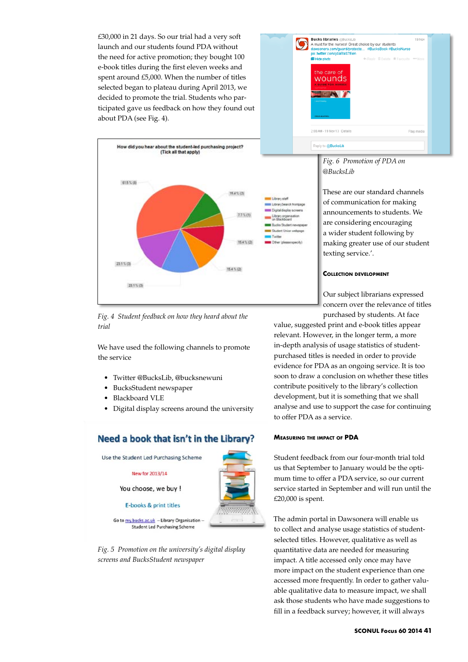£30,000 in 21 days. So our trial had a very soft launch and our students found PDA without the need for active promotion; they bought 100 e-book titles during the first eleven weeks and spent around £5,000. When the number of titles selected began to plateau during April 2013, we decided to promote the trial. Students who participated gave us feedback on how they found out about PDA (see Fig. 4).



## *Fig. 4 Student feedback on how they heard about the trial*

We have used the following channels to promote the service

- • Twitter @BucksLib, @bucksnewuni
- BucksStudent newspaper
- **Blackboard VLE**
- • Digital display screens around the university

# Need a book that isn't in the Library?







# *Fig. 6 Promotion of PDA on @BucksLib*

These are our standard channels of communication for making announcements to students. We are considering encouraging a wider student following by making greater use of our student texting service.'.

#### **Collection development**

Our subject librarians expressed concern over the relevance of titles purchased by students. At face

value, suggested print and e-book titles appear relevant. However, in the longer term, a more in-depth analysis of usage statistics of studentpurchased titles is needed in order to provide evidence for PDA as an ongoing service. It is too soon to draw a conclusion on whether these titles contribute positively to the library's collection development, but it is something that we shall analyse and use to support the case for continuing to offer PDA as a service.

#### **Measuring the impact of PDA**

Student feedback from our four-month trial told us that September to January would be the optimum time to offer a PDA service, so our current service started in September and will run until the £20,000 is spent.

The admin portal in Dawsonera will enable us to collect and analyse usage statistics of studentselected titles. However, qualitative as well as quantitative data are needed for measuring impact. A title accessed only once may have more impact on the student experience than one accessed more frequently. In order to gather valuable qualitative data to measure impact, we shall ask those students who have made suggestions to fill in a feedback survey; however, it will always